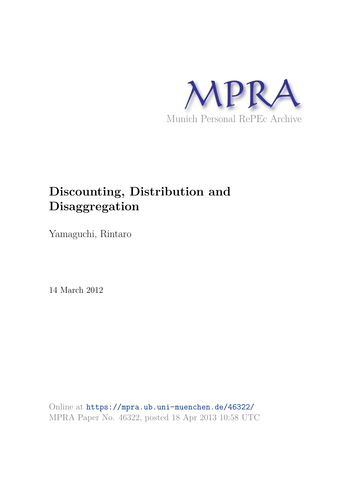

# **Discounting, Distribution and Disaggregation**

Yamaguchi, Rintaro

14 March 2012

Online at https://mpra.ub.uni-muenchen.de/46322/ MPRA Paper No. 46322, posted 18 Apr 2013 10:58 UTC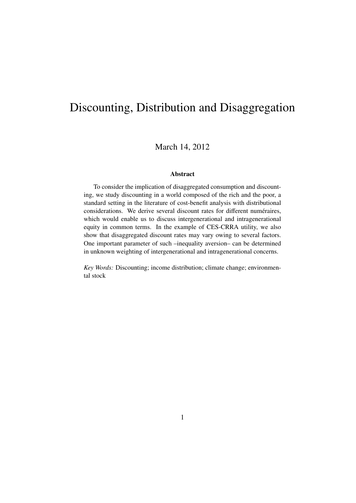# Discounting, Distribution and Disaggregation

### March 14, 2012

#### **Abstract**

To consider the implication of disaggregated consumption and discounting, we study discounting in a world composed of the rich and the poor, a standard setting in the literature of cost-benefit analysis with distributional considerations. We derive several discount rates for different numéraires, which would enable us to discuss intergenerational and intragenerational equity in common terms. In the example of CES-CRRA utility, we also show that disaggregated discount rates may vary owing to several factors. One important parameter of such –inequality aversion– can be determined in unknown weighting of intergenerational and intragenerational concerns.

*Key Words:* Discounting; income distribution; climate change; environmental stock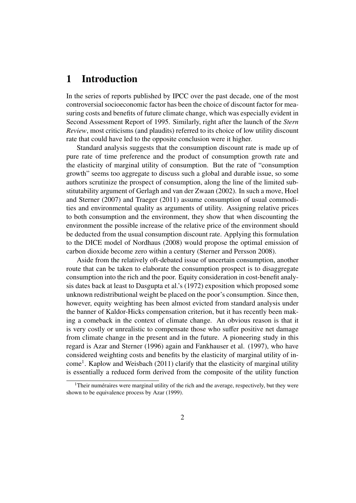## **1 Introduction**

In the series of reports published by IPCC over the past decade, one of the most controversial socioeconomic factor has been the choice of discount factor for measuring costs and benefits of future climate change, which was especially evident in Second Assessment Report of 1995. Similarly, right after the launch of the *Stern Review*, most criticisms (and plaudits) referred to its choice of low utility discount rate that could have led to the opposite conclusion were it higher.

Standard analysis suggests that the consumption discount rate is made up of pure rate of time preference and the product of consumption growth rate and the elasticity of marginal utility of consumption. But the rate of "consumption growth" seems too aggregate to discuss such a global and durable issue, so some authors scrutinize the prospect of consumption, along the line of the limited substitutability argument of Gerlagh and van der Zwaan (2002). In such a move, Hoel and Sterner (2007) and Traeger (2011) assume consumption of usual commodities and environmental quality as arguments of utility. Assigning relative prices to both consumption and the environment, they show that when discounting the environment the possible increase of the relative price of the environment should be deducted from the usual consumption discount rate. Applying this formulation to the DICE model of Nordhaus (2008) would propose the optimal emission of carbon dioxide become zero within a century (Sterner and Persson 2008).

Aside from the relatively oft-debated issue of uncertain consumption, another route that can be taken to elaborate the consumption prospect is to disaggregate consumption into the rich and the poor. Equity consideration in cost-benefit analysis dates back at least to Dasgupta et al.'s (1972) exposition which proposed some unknown redistributional weight be placed on the poor's consumption. Since then, however, equity weighting has been almost evicted from standard analysis under the banner of Kaldor-Hicks compensation criterion, but it has recently been making a comeback in the context of climate change. An obvious reason is that it is very costly or unrealistic to compensate those who suffer positive net damage from climate change in the present and in the future. A pioneering study in this regard is Azar and Sterner (1996) again and Fankhauser et al. (1997), who have considered weighting costs and benefits by the elasticity of marginal utility of income<sup>1</sup>. Kaplow and Weisbach (2011) clarify that the elasticity of marginal utility is essentially a reduced form derived from the composite of the utility function

<sup>&</sup>lt;sup>1</sup>Their numéraires were marginal utility of the rich and the average, respectively, but they were shown to be equivalence process by Azar (1999).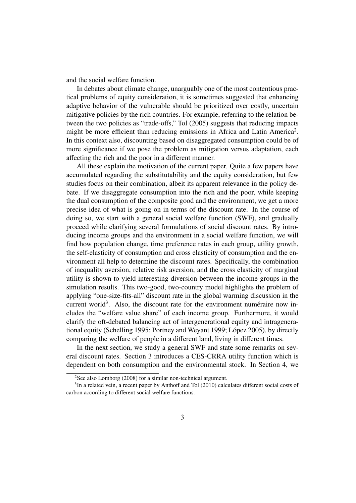and the social welfare function.

In debates about climate change, unarguably one of the most contentious practical problems of equity consideration, it is sometimes suggested that enhancing adaptive behavior of the vulnerable should be prioritized over costly, uncertain mitigative policies by the rich countries. For example, referring to the relation between the two policies as "trade-offs," Tol (2005) suggests that reducing impacts might be more efficient than reducing emissions in Africa and Latin America<sup>2</sup>. In this context also, discounting based on disaggregated consumption could be of more significance if we pose the problem as mitigation versus adaptation, each affecting the rich and the poor in a different manner.

All these explain the motivation of the current paper. Quite a few papers have accumulated regarding the substitutability and the equity consideration, but few studies focus on their combination, albeit its apparent relevance in the policy debate. If we disaggregate consumption into the rich and the poor, while keeping the dual consumption of the composite good and the environment, we get a more precise idea of what is going on in terms of the discount rate. In the course of doing so, we start with a general social welfare function (SWF), and gradually proceed while clarifying several formulations of social discount rates. By introducing income groups and the environment in a social welfare function, we will find how population change, time preference rates in each group, utility growth, the self-elasticity of consumption and cross elasticity of consumption and the environment all help to determine the discount rates. Specifically, the combination of inequality aversion, relative risk aversion, and the cross elasticity of marginal utility is shown to yield interesting diversion between the income groups in the simulation results. This two-good, two-country model highlights the problem of applying "one-size-fits-all" discount rate in the global warming discussion in the current world<sup>3</sup>. Also, the discount rate for the environment numéraire now includes the "welfare value share" of each income group. Furthermore, it would clarify the oft-debated balancing act of intergenerational equity and intragenerational equity (Schelling 1995; Portney and Weyant 1999; López 2005), by directly comparing the welfare of people in a different land, living in different times.

In the next section, we study a general SWF and state some remarks on several discount rates. Section 3 introduces a CES-CRRA utility function which is dependent on both consumption and the environmental stock. In Section 4, we

<sup>&</sup>lt;sup>2</sup>See also Lomborg (2008) for a similar non-technical argument.

<sup>&</sup>lt;sup>3</sup>In a related vein, a recent paper by Anthoff and Tol (2010) calculates different social costs of carbon according to different social welfare functions.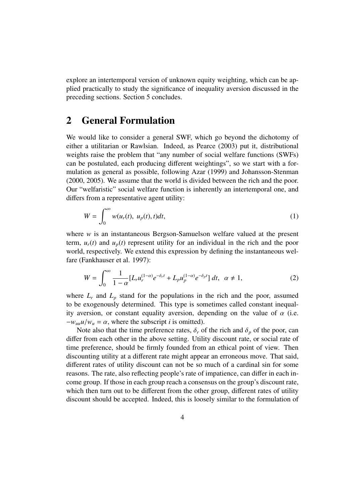explore an intertemporal version of unknown equity weighting, which can be applied practically to study the significance of inequality aversion discussed in the preceding sections. Section 5 concludes.

# **2 General Formulation**

We would like to consider a general SWF, which go beyond the dichotomy of either a utilitarian or Rawlsian. Indeed, as Pearce (2003) put it, distributional weights raise the problem that "any number of social welfare functions (SWFs) can be postulated, each producing different weightings", so we start with a formulation as general as possible, following Azar (1999) and Johansson-Stenman (2000, 2005). We assume that the world is divided between the rich and the poor. Our "welfaristic" social welfare function is inherently an intertemporal one, and differs from a representative agent utility:

$$
W = \int_0^\infty w(u_r(t), u_p(t), t)dt,
$$
\n(1)

where *w* is an instantaneous Bergson-Samuelson welfare valued at the present term,  $u_r(t)$  and  $u_p(t)$  represent utility for an individual in the rich and the poor world, respectively. We extend this expression by defining the instantaneous welfare (Fankhauser et al. 1997):

$$
W = \int_0^\infty \frac{1}{1 - \alpha} [L_r u_r^{(1 - \alpha)} e^{-\delta_r t} + L_p u_p^{(1 - \alpha)} e^{-\delta_p t}] dt, \ \alpha \neq 1,
$$
 (2)

where  $L_r$  and  $L_p$  stand for the populations in the rich and the poor, assumed to be exogenously determined. This type is sometimes called constant inequality aversion, or constant equality aversion, depending on the value of  $\alpha$  (i.e.  $-w_{uu}u/w_u = \alpha$ , where the subscript *i* is omitted).

Note also that the time preference rates,  $\delta_r$  of the rich and  $\delta_p$  of the poor, can differ from each other in the above setting. Utility discount rate, or social rate of time preference, should be firmly founded from an ethical point of view. Then discounting utility at a different rate might appear an erroneous move. That said, different rates of utility discount can not be so much of a cardinal sin for some reasons. The rate, also reflecting people's rate of impatience, can differ in each income group. If those in each group reach a consensus on the group's discount rate, which then turn out to be different from the other group, different rates of utility discount should be accepted. Indeed, this is loosely similar to the formulation of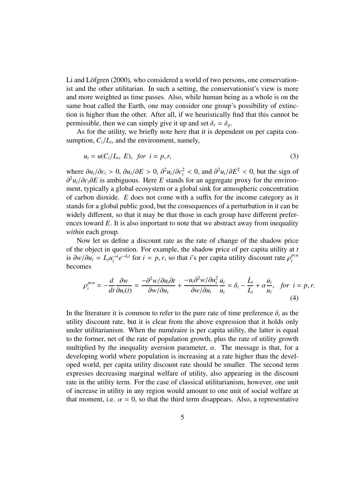Li and Löfgren  $(2000)$ , who considered a world of two persons, one conservationist and the other utilitarian. In such a setting, the conservationist's view is more and more weighted as time passes. Also, while human being as a whole is on the same boat called the Earth, one may consider one group's possibility of extinction is higher than the other. After all, if we heuristically find that this cannot be permissible, then we can simply give it up and set  $\delta_r = \delta_p$ .

As for the utility, we briefly note here that it is dependent on per capita consumption,  $C_i/L_i$ , and the environment, namely,

$$
u_i = u(C_i/L_i, E), \text{ for } i = p, r,
$$
\n
$$
(3)
$$

where  $\partial u_i/\partial c_i > 0$ ,  $\partial u_i/\partial E > 0$ ,  $\partial^2 u_i/\partial c_i^2 < 0$ , and  $\partial^2 u_i/\partial E^2 < 0$ , but the sign of ∂ <sup>2</sup>*ui*/∂*ci*∂*E* is ambiguous. Here *E* stands for an aggregate proxy for the environment, typically a global ecosystem or a global sink for atmospheric concentration of carbon dioxide. *E* does not come with a suffix for the income category as it stands for a global public good, but the consequences of a perturbation in it can be widely different, so that it may be that those in each group have different preferences toward *E*. It is also important to note that we abstract away from inequality *within* each group.

Now let us define a discount rate as the rate of change of the shadow price of the object in question. For example, the shadow price of per capita utility at *t* is  $\partial w / \partial u_i = L_i u_i^{-\alpha}$  $\int_{i}^{-\alpha} e^{-\delta_{i}t}$  for  $i = p, r$ , so that *i*'s per capita utility discount rate  $\rho_{i}^{pcu}$ *i* becomes

$$
\rho_i^{pcu} = -\frac{d}{dt}\frac{\partial w}{\partial u_i(t)} = \frac{-\partial^2 w/\partial u_i \partial t}{\partial w/\partial u_i} + \frac{-u_i \partial^2 w/\partial u_i^2}{\partial w/\partial u_i} \frac{\dot{u}_i}{u_i} = \delta_i - \frac{\dot{L}_i}{L_i} + \alpha \frac{\dot{u}_i}{u_i}, \text{ for } i = p, r.
$$
\n(4)

In the literature it is common to refer to the pure rate of time preference  $\delta_i$  as the utility discount rate, but it is clear from the above expression that it holds only under utilitarianism. When the numeraire is per capita utility, the latter is equal to the former, net of the rate of population growth, plus the rate of utility growth multiplied by the inequality aversion parameter,  $\alpha$ . The message is that, for a developing world where population is increasing at a rate higher than the developed world, per capita utility discount rate should be smaller. The second term expresses decreasing marginal welfare of utility, also appearing in the discount rate in the utility term. For the case of classical utilitarianism, however, one unit of increase in utility in any region would amount to one unit of social welfare at that moment, i.e.  $\alpha = 0$ , so that the third term disappears. Also, a representative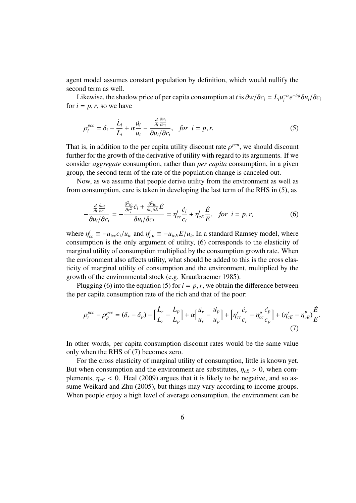agent model assumes constant population by definition, which would nullify the second term as well.

Likewise, the shadow price of per capita consumption at *t* is  $\partial w / \partial c_i = L_i u_i^{-\alpha}$  $e^{-\alpha}e^{-\delta_i t}\partial u_i/\partial c_i$ for  $i = p, r$ , so we have

$$
\rho_i^{pcc} = \delta_i - \frac{\dot{L}_i}{L_i} + \alpha \frac{\dot{u}_i}{u_i} - \frac{\frac{d}{dt} \frac{\partial u_i}{\partial c_i}}{\partial u_i / \partial c_i}, \quad \text{for } i = p, r. \tag{5}
$$

That is, in addition to the per capita utility discount rate  $\rho^{pcu}$ , we should discount further for the growth of the derivative of utility with regard to its arguments. If we consider *aggregate* consumption, rather than *per capita* consumption, in a given group, the second term of the rate of the population change is canceled out.

Now, as we assume that people derive utility from the environment as well as from consumption, care is taken in developing the last term of the RHS in (5), as

$$
-\frac{\frac{d}{dt}\frac{\partial u_i}{\partial c_i}}{\partial u_i/\partial c_i} = -\frac{\frac{\partial^2 u_i}{\partial c_i^2}\dot{c}_i + \frac{\partial^2 u_i}{\partial c_i \partial E}\dot{E}}{\partial u_i/\partial c_i} = \eta_{cc}^i \frac{\dot{c}_i}{c_i} + \eta_{cE}^i \frac{\dot{E}}{E}, \quad \text{for } i = p, r,
$$
(6)

where  $\eta_{cc}^i \equiv -u_{icc}c_i/u_{ic}$  and  $\eta_{cE}^i \equiv -u_{icE}E/u_{ic}$  In a standard Ramsey model, where consumption is the only argument of utility, (6) corresponds to the elasticity of marginal utility of consumption multiplied by the consumption growth rate. When the environment also affects utility, what should be added to this is the cross elasticity of marginal utility of consumption and the environment, multiplied by the growth of the environmental stock (e.g. Krautkraemer 1985).

Plugging (6) into the equation (5) for  $i = p, r$ , we obtain the difference between the per capita consumption rate of the rich and that of the poor:

$$
\rho_r^{pcc} - \rho_p^{pcc} = (\delta_r - \delta_p) - \left[\frac{\dot{L}_r}{L_r} - \frac{\dot{L}_p}{L_p}\right] + \alpha \left[\frac{\dot{u}_r}{u_r} - \frac{\dot{u}_p}{u_p}\right] + \left[\eta_{cc}^r \frac{\dot{c}_r}{c_r} - \eta_{cc}^p \frac{\dot{c}_p}{c_p}\right] + (\eta_{cE}^r - \eta_{cE}^p) \frac{\dot{E}}{E}
$$
\n(7)

.

In other words, per capita consumption discount rates would be the same value only when the RHS of (7) becomes zero.

For the cross elasticity of marginal utility of consumption, little is known yet. But when consumption and the environment are substitutes,  $\eta_{cE} > 0$ , when complements,  $\eta_{cE}$  < 0. Heal (2009) argues that it is likely to be negative, and so assume Weikard and Zhu (2005), but things may vary according to income groups. When people enjoy a high level of average consumption, the environment can be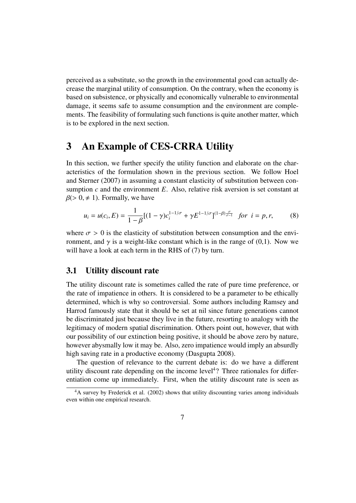perceived as a substitute, so the growth in the environmental good can actually decrease the marginal utility of consumption. On the contrary, when the economy is based on subsistence, or physically and economically vulnerable to environmental damage, it seems safe to assume consumption and the environment are complements. The feasibility of formulating such functions is quite another matter, which is to be explored in the next section.

## **3 An Example of CES-CRRA Utility**

In this section, we further specify the utility function and elaborate on the characteristics of the formulation shown in the previous section. We follow Hoel and Sterner (2007) in assuming a constant elasticity of substitution between consumption  $c$  and the environment  $E$ . Also, relative risk aversion is set constant at  $\beta$ (> 0,  $\neq$  1). Formally, we have

$$
u_i = u(c_i, E) = \frac{1}{1 - \beta} [(1 - \gamma) c_i^{1 - 1/\sigma} + \gamma E^{1 - 1/\sigma}]^{(1 - \beta) \frac{\sigma}{\sigma - 1}} \text{ for } i = p, r,
$$
 (8)

where  $\sigma > 0$  is the elasticity of substitution between consumption and the environment, and  $\gamma$  is a weight-like constant which is in the range of (0,1). Now we will have a look at each term in the RHS of (7) by turn.

## **3.1 Utility discount rate**

The utility discount rate is sometimes called the rate of pure time preference, or the rate of impatience in others. It is considered to be a parameter to be ethically determined, which is why so controversial. Some authors including Ramsey and Harrod famously state that it should be set at nil since future generations cannot be discriminated just because they live in the future, resorting to analogy with the legitimacy of modern spatial discrimination. Others point out, however, that with our possibility of our extinction being positive, it should be above zero by nature, however abysmally low it may be. Also, zero impatience would imply an absurdly high saving rate in a productive economy (Dasgupta 2008).

The question of relevance to the current debate is: do we have a different utility discount rate depending on the income level<sup>4</sup>? Three rationales for differentiation come up immediately. First, when the utility discount rate is seen as

<sup>&</sup>lt;sup>4</sup>A survey by Frederick et al. (2002) shows that utility discounting varies among individuals even within one empirical research.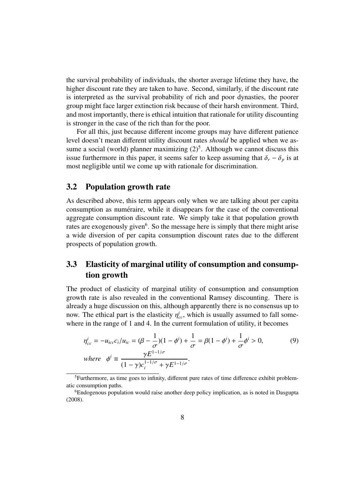the survival probability of individuals, the shorter average lifetime they have, the higher discount rate they are taken to have. Second, similarly, if the discount rate is interpreted as the survival probability of rich and poor dynasties, the poorer group might face larger extinction risk because of their harsh environment. Third, and most importantly, there is ethical intuition that rationale for utility discounting is stronger in the case of the rich than for the poor.

For all this, just because different income groups may have different patience level doesn't mean different utility discount rates *should* be applied when we assume a social (world) planner maximizing  $(2)^5$ . Although we cannot discuss this issue furthermore in this paper, it seems safer to keep assuming that  $\delta_r - \delta_p$  is at most negligible until we come up with rationale for discrimination.

### **3.2 Population growth rate**

As described above, this term appears only when we are talking about per capita consumption as numeraire, while it disappears for the case of the conventional aggregate consumption discount rate. We simply take it that population growth rates are exogenously given<sup>6</sup>. So the message here is simply that there might arise a wide diversion of per capita consumption discount rates due to the different prospects of population growth.

## **3.3 Elasticity of marginal utility of consumption and consumption growth**

The product of elasticity of marginal utility of consumption and consumption growth rate is also revealed in the conventional Ramsey discounting. There is already a huge discussion on this, although apparently there is no consensus up to now. The ethical part is the elasticity  $\eta_{cc}^i$ , which is usually assumed to fall somewhere in the range of 1 and 4. In the current formulation of utility, it becomes

$$
\eta_{cc}^{i} = -u_{icc}c_{i}/u_{ic} = (\beta - \frac{1}{\sigma})(1 - \phi^{i}) + \frac{1}{\sigma} = \beta(1 - \phi^{i}) + \frac{1}{\sigma}\phi^{i} > 0,
$$
\n
$$
\text{where} \quad \phi^{i} \equiv \frac{\gamma E^{1-1/\sigma}}{(1 - \gamma)c_{i}^{1-1/\sigma} + \gamma E^{1-1/\sigma}}.
$$
\n(9)

<sup>&</sup>lt;sup>5</sup>Furthermore, as time goes to infinity, different pure rates of time difference exhibit problematic consumption paths.

<sup>&</sup>lt;sup>6</sup>Endogenous population would raise another deep policy implication, as is noted in Dasgupta (2008).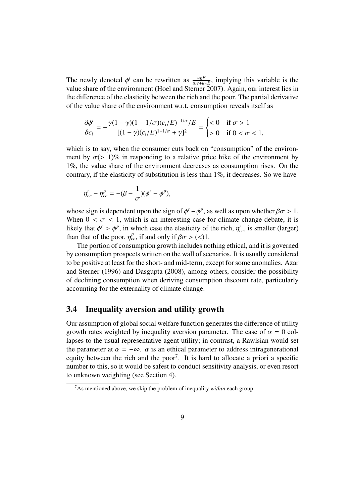The newly denoted  $\phi^i$  can be rewritten as  $\frac{u_E E}{u_C + u_E E}$ , implying this variable is the value share of the environment (Hoel and Sterner 2007). Again, our interest lies in the difference of the elasticity between the rich and the poor. The partial derivative of the value share of the environment w.r.t. consumption reveals itself as

$$
\frac{\partial \phi^i}{\partial c_i} = -\frac{\gamma (1 - \gamma)(1 - 1/\sigma)(c_i/E)^{-1/\sigma}/E}{[(1 - \gamma)(c_i/E)^{1 - 1/\sigma} + \gamma]^2} = \begin{cases} < 0 & \text{if } \sigma > 1\\ > 0 & \text{if } 0 < \sigma < 1, \end{cases}
$$

which is to say, when the consumer cuts back on "consumption" of the environment by  $\sigma$ (> 1)% in responding to a relative price hike of the environment by 1%, the value share of the environment decreases as consumption rises. On the contrary, if the elasticity of substitution is less than 1%, it decreases. So we have

$$
\eta_{cc}^r - \eta_{cc}^p = -(\beta - \frac{1}{\sigma})(\phi^r - \phi^p),
$$

whose sign is dependent upon the sign of  $\phi^r - \phi^p$ , as well as upon whether  $\beta \sigma > 1$ . When  $0 < \sigma < 1$ , which is an interesting case for climate change debate, it is likely that  $\phi^r > \phi^p$ , in which case the elasticity of the rich,  $\eta^r_{cc}$ , is smaller (larger) than that of the poor,  $\eta_{cc}^p$ , if and only if  $\beta \sigma$  > (<)1.

The portion of consumption growth includes nothing ethical, and it is governed by consumption prospects written on the wall of scenarios. It is usually considered to be positive at least for the short- and mid-term, except for some anomalies. Azar and Sterner (1996) and Dasgupta (2008), among others, consider the possibility of declining consumption when deriving consumption discount rate, particularly accounting for the externality of climate change.

### **3.4 Inequality aversion and utility growth**

Our assumption of global social welfare function generates the difference of utility growth rates weighted by inequality aversion parameter. The case of  $\alpha = 0$  collapses to the usual representative agent utility; in contrast, a Rawlsian would set the parameter at  $\alpha = -\infty$ .  $\alpha$  is an ethical parameter to address intragenerational equity between the rich and the poor<sup>7</sup>. It is hard to allocate a priori a specific number to this, so it would be safest to conduct sensitivity analysis, or even resort to unknown weighting (see Section 4).

<sup>7</sup>As mentioned above, we skip the problem of inequality *within* each group.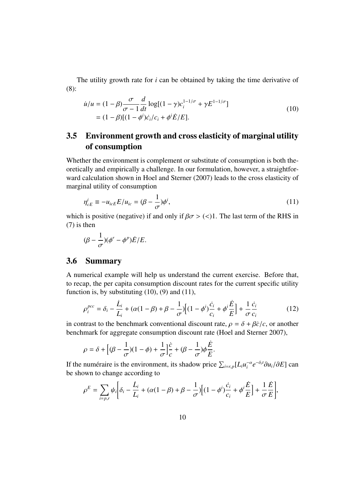The utility growth rate for *i* can be obtained by taking the time derivative of (8):

$$
\dot{u}/u = (1 - \beta) \frac{\sigma}{\sigma - 1} \frac{d}{dt} \log[(1 - \gamma)c_i^{1 - 1/\sigma} + \gamma E^{1 - 1/\sigma}]
$$
  
=  $(1 - \beta)[(1 - \phi^i)c_i/c_i + \phi^i \dot{E}/E].$  (10)

## **3.5 Environment growth and cross elasticity of marginal utility of consumption**

Whether the environment is complement or substitute of consumption is both theoretically and empirically a challenge. In our formulation, however, a straightforward calculation shown in Hoel and Sterner (2007) leads to the cross elasticity of marginal utility of consumption

$$
\eta_{cE}^i \equiv -u_{icE}E/u_{ic} = (\beta - \frac{1}{\sigma})\phi^i,\tag{11}
$$

which is positive (negative) if and only if  $\beta \sigma$  > (<)1. The last term of the RHS in (7) is then

$$
(\beta - \frac{1}{\sigma})(\phi^r - \phi^p)\dot{E}/E.
$$

### **3.6 Summary**

A numerical example will help us understand the current exercise. Before that, to recap, the per capita consumption discount rates for the current specific utility function is, by substituting  $(10)$ ,  $(9)$  and  $(11)$ ,

$$
\rho_i^{pcc} = \delta_i - \frac{\dot{L}_i}{L_i} + (\alpha(1 - \beta) + \beta - \frac{1}{\sigma}) \Big[ (1 - \phi^i) \frac{\dot{c}_i}{c_i} + \phi^i \frac{\dot{E}}{E} \Big] + \frac{1}{\sigma} \frac{\dot{c}_i}{c_i}
$$
(12)

in contrast to the benchmark conventional discount rate,  $\rho = \delta + \beta \dot{c}/c$ , or another benchmark for aggregate consumption discount rate (Hoel and Sterner 2007),

$$
\rho=\delta+\Big[(\beta-\frac{1}{\sigma})(1-\phi)+\frac{1}{\sigma}\Big]\frac{\dot{c}}{c}+(\beta-\frac{1}{\sigma})\phi\frac{\dot{E}}{E}.
$$

If the numéraire is the environment, its shadow price  $\sum_{i=r,p} [L_i u_i^{-\alpha}]$  $e^{-\alpha}e^{-\delta_i t}\partial u_i/\partial E$ ] can be shown to change according to

$$
\rho^{E} = \sum_{i=p,r} \psi_{i} \bigg[ \delta_{i} - \frac{\dot{L}_{i}}{L_{i}} + (\alpha(1-\beta) + \beta - \frac{1}{\sigma}) \bigg[ (1-\phi^{i}) \frac{\dot{c}_{i}}{c_{i}} + \phi^{i} \frac{\dot{E}}{E} \bigg] + \frac{1}{\sigma} \frac{\dot{E}}{E} \bigg],
$$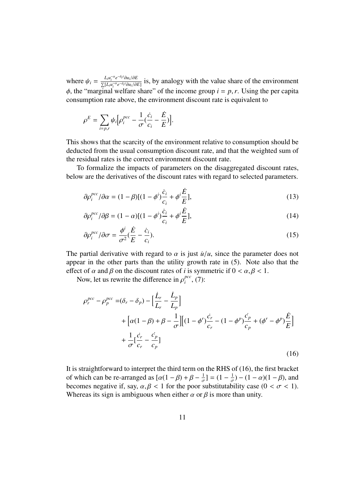where  $\psi_i = \frac{L_i u_i^{-\alpha} e^{-\delta_i t} \partial u_i / \partial E}{\sum [L_i u_i^{-\alpha} e^{-\delta_i t} \partial u_i / \partial E}$  $\frac{L_i u_i}{\sum [L_i u_i^{-\alpha} e^{-\delta_i t} \partial u_i/\partial E]}$  is, by analogy with the value share of the environment  $\phi$ , the "marginal welfare share" of the income group  $i = p, r$ . Using the per capita consumption rate above, the environment discount rate is equivalent to

$$
\rho^{E} = \sum_{i=p,r} \psi_i \Big[ \rho_i^{pcc} - \frac{1}{\sigma} (\frac{\dot{c}_i}{c_i} - \frac{\dot{E}}{E}) \Big].
$$

This shows that the scarcity of the environment relative to consumption should be deducted from the usual consumption discount rate, and that the weighted sum of the residual rates is the correct environment discount rate.

To formalize the impacts of parameters on the disaggregated discount rates, below are the derivatives of the discount rates with regard to selected parameters.

$$
\partial \rho_i^{pcc} / \partial \alpha = (1 - \beta) [(1 - \phi^i) \frac{\dot{c}_i}{c_i} + \phi^i \frac{\dot{E}}{E}], \qquad (13)
$$

$$
\partial \rho_i^{pcc} / \partial \beta = (1 - \alpha) [(1 - \phi^i) \frac{\dot{c}_i}{c_i} + \phi^i \frac{\dot{E}}{E}], \tag{14}
$$

$$
\partial \rho_i^{pcc} / \partial \sigma = \frac{\phi^i}{\sigma^2} (\frac{\dot{E}}{E} - \frac{\dot{c}_i}{c_i}).
$$
\n(15)

The partial derivative with regard to  $\alpha$  is just  $\dot{u}/u$ , since the parameter does not appear in the other parts than the utility growth rate in (5). Note also that the effect of  $\alpha$  and  $\beta$  on the discount rates of *i* is symmetric if  $0 < \alpha, \beta < 1$ .

Now, let us rewrite the difference in  $\rho_i^{pcc}$  $_{i}^{pcc}$ , (7):

$$
\rho_r^{pcc} - \rho_p^{pcc} = (\delta_r - \delta_p) - \left[\frac{\dot{L}_r}{L_r} - \frac{\dot{L}_p}{L_p}\right] \n+ \left[\alpha(1-\beta) + \beta - \frac{1}{\sigma}\right] \left[(1-\phi^r)\frac{\dot{c}_r}{c_r} - (1-\phi^p)\frac{\dot{c}_p}{c_p} + (\phi^r - \phi^p)\frac{\dot{E}}{E}\right] \n+ \frac{1}{\sigma} \left[\frac{\dot{c}_r}{c_r} - \frac{\dot{c}_p}{c_p}\right]
$$
\n(16)

It is straightforward to interpret the third term on the RHS of (16), the first bracket of which can be re-arranged as  $[\alpha(1-\beta)+\beta-\frac{1}{\alpha}]$  $\frac{1}{\sigma}$ ] =  $(1 - \frac{1}{\sigma})$  $\frac{1}{\sigma}$ ) –  $(1 - \alpha)(1 - \beta)$ , and becomes negative if, say,  $\alpha, \beta < 1$  for the poor substitutability case  $(0 < \sigma < 1)$ . Whereas its sign is ambiguous when either  $\alpha$  or  $\beta$  is more than unity.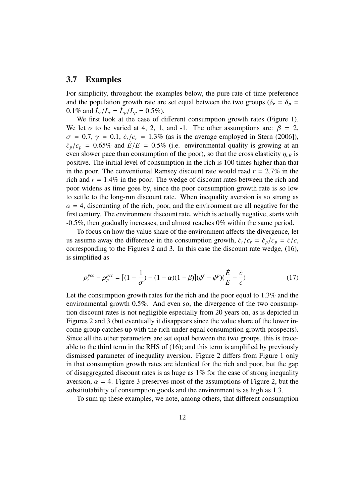#### **3.7 Examples**

For simplicity, throughout the examples below, the pure rate of time preference and the population growth rate are set equal between the two groups ( $\delta_r = \delta_p =$ 0.1% and  $\dot{L}_r / L_r = \dot{L}_p / L_p = 0.5\%$ ).

We first look at the case of different consumption growth rates (Figure 1). We let  $\alpha$  to be varied at 4, 2, 1, and -1. The other assumptions are:  $\beta = 2$ ,  $\sigma = 0.7$ ,  $\gamma = 0.1$ ,  $\dot{c}_r/c_r = 1.3\%$  (as is the average employed in Stern (2006]),  $c_p/c_p = 0.65\%$  and  $\dot{E}/E = 0.5\%$  (i.e. environmental quality is growing at an even slower pace than consumption of the poor), so that the cross elasticity  $\eta_{cE}$  is positive. The initial level of consumption in the rich is 100 times higher than that in the poor. The conventional Ramsey discount rate would read  $r = 2.7\%$  in the rich and  $r = 1.4\%$  in the poor. The wedge of discount rates between the rich and poor widens as time goes by, since the poor consumption growth rate is so low to settle to the long-run discount rate. When inequality aversion is so strong as  $\alpha = 4$ , discounting of the rich, poor, and the environment are all negative for the first century. The environment discount rate, which is actually negative, starts with -0.5%, then gradually increases, and almost reaches 0% within the same period.

To focus on how the value share of the environment affects the divergence, let us assume away the difference in the consumption growth,  $\dot{c}_r/c_r = \dot{c}_p/c_p = \dot{c}/c$ , corresponding to the Figures 2 and 3. In this case the discount rate wedge, (16), is simplified as

$$
\rho_r^{pcc} - \rho_p^{pcc} = [(1 - \frac{1}{\sigma}) - (1 - \alpha)(1 - \beta)](\phi^r - \phi^p)(\frac{\dot{E}}{E} - \frac{\dot{c}}{c})
$$
(17)

Let the consumption growth rates for the rich and the poor equal to 1.3% and the environmental growth 0.5%. And even so, the divergence of the two consumption discount rates is not negligible especially from 20 years on, as is depicted in Figures 2 and 3 (but eventually it disappears since the value share of the lower income group catches up with the rich under equal consumption growth prospects). Since all the other parameters are set equal between the two groups, this is traceable to the third term in the RHS of (16); and this term is amplified by previously dismissed parameter of inequality aversion. Figure 2 differs from Figure 1 only in that consumption growth rates are identical for the rich and poor, but the gap of disaggregated discount rates is as huge as 1% for the case of strong inequality aversion,  $\alpha = 4$ . Figure 3 preserves most of the assumptions of Figure 2, but the substitutability of consumption goods and the environment is as high as 1.3.

To sum up these examples, we note, among others, that different consumption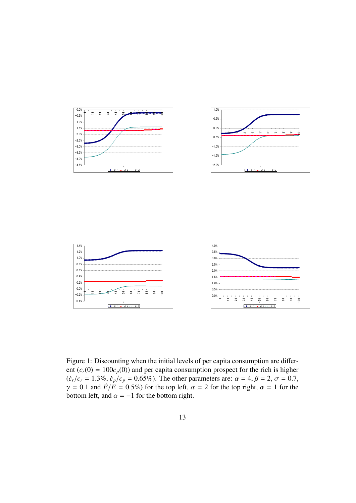



Figure 1: Discounting when the initial levels of per capita consumption are different  $(c_r(0) = 100c_p(0))$  and per capita consumption prospect for the rich is higher  $({\dot c}_r/c_r = 1.3\%, {\dot c}_p/c_p = 0.65\%$ ). The other parameters are:  $\alpha = 4, \beta = 2, \sigma = 0.7$ ,  $\gamma = 0.1$  and  $\dot{E}/\dot{E} = 0.5\%$ ) for the top left,  $\alpha = 2$  for the top right,  $\alpha = 1$  for the bottom left, and  $\alpha = -1$  for the bottom right.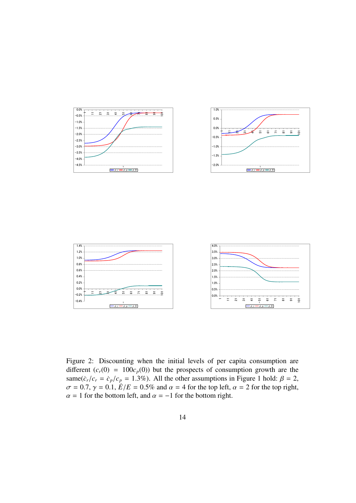

È 5  $\overline{5}$ न<br><u>व</u>  $\frac{5}{1-\rho}$ - ق<br>م — و  $\bar{\mathbf{r}}$  $\overline{5}$  $\overline{\mathbf{s}}$ 

 $\overline{5}$ 

 $\overline{1}$ 

Figure 2: Discounting when the initial levels of per capita consumption are different  $(c_r(0) = 100c_p(0))$  but the prospects of consumption growth are the same( $\dot{c}_r/c_r = \dot{c}_p/c_p = 1.3\%$ ). All the other assumptions in Figure 1 hold:  $\beta = 2$ ,  $\sigma = 0.7$ ,  $\gamma = 0.1$ ,  $\dot{E}/E = 0.5\%$  and  $\alpha = 4$  for the top left,  $\alpha = 2$  for the top right,  $\alpha = 1$  for the bottom left, and  $\alpha = -1$  for the bottom right.

 $-0.2%$ <br> $-0.4%$ 

− Ξ.  $\tilde{\phantom{0}}$ ఞ ÷. 5 5 Ε. ౚ ᇹ ≘

 $\frac{1}{2}$ -<br><u>0</u>  $\frac{t}{s-\rho}$  $\frac{1}{\rho - \rho}$  $\frac{1}{\sqrt{2}}$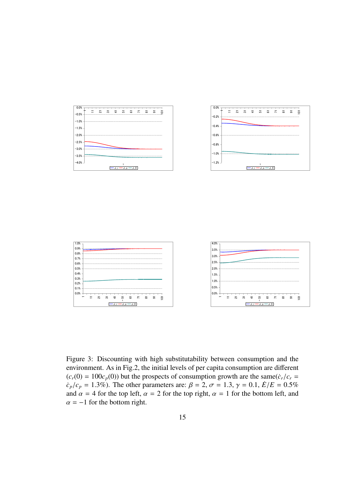





Figure 3: Discounting with high substitutability between consumption and the environment. As in Fig.2, the initial levels of per capita consumption are different  $(c_r(0) = 100c_p(0))$  but the prospects of consumption growth are the same $(\dot{c}_r/c_r =$  $c_p/c_p = 1.3\%$ ). The other parameters are:  $\beta = 2$ ,  $\sigma = 1.3$ ,  $\gamma = 0.1$ ,  $\dot{E}/E = 0.5\%$ and  $\alpha = 4$  for the top left,  $\alpha = 2$  for the top right,  $\alpha = 1$  for the bottom left, and  $\alpha = -1$  for the bottom right.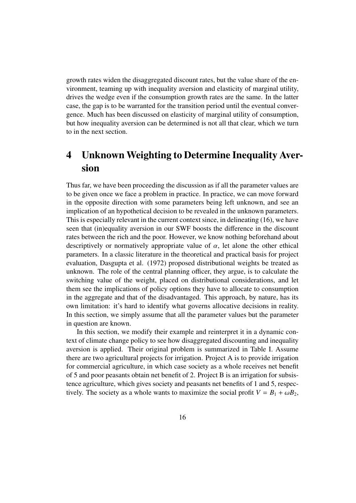growth rates widen the disaggregated discount rates, but the value share of the environment, teaming up with inequality aversion and elasticity of marginal utility, drives the wedge even if the consumption growth rates are the same. In the latter case, the gap is to be warranted for the transition period until the eventual convergence. Much has been discussed on elasticity of marginal utility of consumption, but how inequality aversion can be determined is not all that clear, which we turn to in the next section.

# **4 Unknown Weighting to Determine Inequality Aversion**

Thus far, we have been proceeding the discussion as if all the parameter values are to be given once we face a problem in practice. In practice, we can move forward in the opposite direction with some parameters being left unknown, and see an implication of an hypothetical decision to be revealed in the unknown parameters. This is especially relevant in the current context since, in delineating (16), we have seen that (in)equality aversion in our SWF boosts the difference in the discount rates between the rich and the poor. However, we know nothing beforehand about descriptively or normatively appropriate value of  $\alpha$ , let alone the other ethical parameters. In a classic literature in the theoretical and practical basis for project evaluation, Dasgupta et al. (1972) proposed distributional weights be treated as unknown. The role of the central planning officer, they argue, is to calculate the switching value of the weight, placed on distributional considerations, and let them see the implications of policy options they have to allocate to consumption in the aggregate and that of the disadvantaged. This approach, by nature, has its own limitation: it's hard to identify what governs allocative decisions in reality. In this section, we simply assume that all the parameter values but the parameter in question are known.

In this section, we modify their example and reinterpret it in a dynamic context of climate change policy to see how disaggregated discounting and inequality aversion is applied. Their original problem is summarized in Table I. Assume there are two agricultural projects for irrigation. Project A is to provide irrigation for commercial agriculture, in which case society as a whole receives net benefit of 5 and poor peasants obtain net benefit of 2. Project B is an irrigation for subsistence agriculture, which gives society and peasants net benefits of 1 and 5, respectively. The society as a whole wants to maximize the social profit  $V = B_1 + \omega B_2$ ,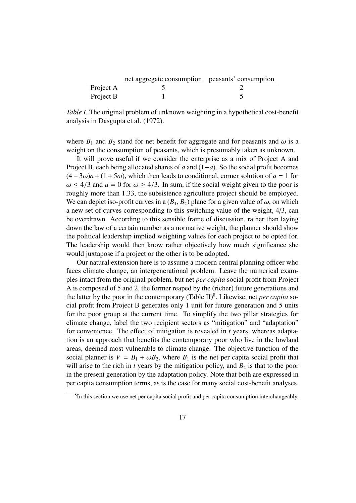|           | net aggregate consumption peasants' consumption |  |
|-----------|-------------------------------------------------|--|
| Project A |                                                 |  |
| Project B |                                                 |  |

*Table I.* The original problem of unknown weighting in a hypothetical cost-benefit analysis in Dasgupta et al. (1972).

where  $B_1$  and  $B_2$  stand for net benefit for aggregate and for peasants and  $\omega$  is a weight on the consumption of peasants, which is presumably taken as unknown.

It will prove useful if we consider the enterprise as a mix of Project A and Project B, each being allocated shares of *a* and (1−*a*). So the social profit becomes  $(4-3\omega)a + (1+5\omega)$ , which then leads to conditional, corner solution of  $a = 1$  for  $\omega \leq 4/3$  and  $a = 0$  for  $\omega \geq 4/3$ . In sum, if the social weight given to the poor is roughly more than 1.33, the subsistence agriculture project should be employed. We can depict iso-profit curves in a  $(B_1, B_2)$  plane for a given value of  $\omega$ , on which a new set of curves corresponding to this switching value of the weight, 4/3, can be overdrawn. According to this sensible frame of discussion, rather than laying down the law of a certain number as a normative weight, the planner should show the political leadership implied weighting values for each project to be opted for. The leadership would then know rather objectively how much significance she would juxtapose if a project or the other is to be adopted.

Our natural extension here is to assume a modern central planning officer who faces climate change, an intergenerational problem. Leave the numerical examples intact from the original problem, but net *per capita* social profit from Project A is composed of 5 and 2, the former reaped by the (richer) future generations and the latter by the poor in the contemporary (Table II)<sup>8</sup>. Likewise, net *per capita* social profit from Project B generates only 1 unit for future generation and 5 units for the poor group at the current time. To simplify the two pillar strategies for climate change, label the two recipient sectors as "mitigation" and "adaptation" for convenience. The effect of mitigation is revealed in *t* years, whereas adaptation is an approach that benefits the contemporary poor who live in the lowland areas, deemed most vulnerable to climate change. The objective function of the social planner is  $V = B_1 + \omega B_2$ , where  $B_1$  is the net per capita social profit that will arise to the rich in  $t$  years by the mitigation policy, and  $B_2$  is that to the poor in the present generation by the adaptation policy. Note that both are expressed in per capita consumption terms, as is the case for many social cost-benefit analyses.

<sup>&</sup>lt;sup>8</sup>In this section we use net per capita social profit and per capita consumption interchangeably.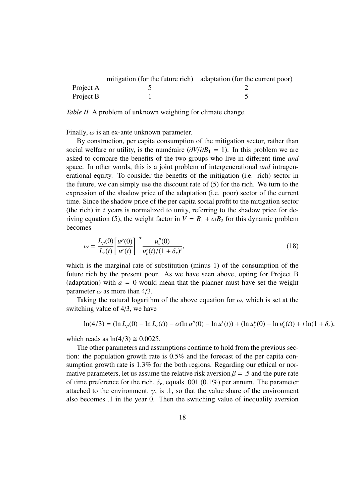|           | mitigation (for the future rich) adaptation (for the current poor) |
|-----------|--------------------------------------------------------------------|
| Project A |                                                                    |
| Project B |                                                                    |

*Table II.* A problem of unknown weighting for climate change.

Finally,  $\omega$  is an ex-ante unknown parameter.

By construction, per capita consumption of the mitigation sector, rather than social welfare or utility, is the numeraire  $(\partial V/\partial B_1 = 1)$ . In this problem we are asked to compare the benefits of the two groups who live in different time *and* space. In other words, this is a joint problem of intergenerational *and* intragenerational equity. To consider the benefits of the mitigation (i.e. rich) sector in the future, we can simply use the discount rate of (5) for the rich. We turn to the expression of the shadow price of the adaptation (i.e. poor) sector of the current time. Since the shadow price of the per capita social profit to the mitigation sector (the rich) in *t* years is normalized to unity, referring to the shadow price for deriving equation (5), the weight factor in  $V = B_1 + \omega B_2$  for this dynamic problem becomes

$$
\omega = \frac{L_p(0)}{L_r(t)} \left[ \frac{u^p(0)}{u^r(t)} \right]^{-\alpha} \frac{u_c^p(0)}{u_c^r(t)/(1+\delta_r)^t},\tag{18}
$$

which is the marginal rate of substitution (minus 1) of the consumption of the future rich by the present poor. As we have seen above, opting for Project B (adaptation) with  $a = 0$  would mean that the planner must have set the weight parameter  $\omega$  as more than 4/3.

Taking the natural logarithm of the above equation for  $\omega$ , which is set at the switching value of 4/3, we have

$$
\ln(4/3) = (\ln L_p(0) - \ln L_r(t)) - \alpha (\ln u^p(0) - \ln u^r(t)) + (\ln u^p_c(0) - \ln u^r_c(t)) + t \ln(1 + \delta_r),
$$

which reads as  $ln(4/3) \approx 0.0025$ .

The other parameters and assumptions continue to hold from the previous section: the population growth rate is 0.5% and the forecast of the per capita consumption growth rate is 1.3% for the both regions. Regarding our ethical or normative parameters, let us assume the relative risk aversion  $\beta = 0.5$  and the pure rate of time preference for the rich,  $\delta_r$ , equals .001 (0.1%) per annum. The parameter attached to the environment,  $\gamma$ , is .1, so that the value share of the environment also becomes .1 in the year 0. Then the switching value of inequality aversion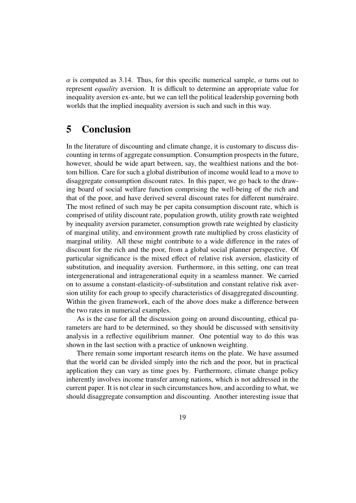$\alpha$  is computed as 3.14. Thus, for this specific numerical sample,  $\alpha$  turns out to represent *equality* aversion. It is difficult to determine an appropriate value for inequality aversion ex-ante, but we can tell the political leadership governing both worlds that the implied inequality aversion is such and such in this way.

# **5 Conclusion**

In the literature of discounting and climate change, it is customary to discuss discounting in terms of aggregate consumption. Consumption prospects in the future, however, should be wide apart between, say, the wealthiest nations and the bottom billion. Care for such a global distribution of income would lead to a move to disaggregate consumption discount rates. In this paper, we go back to the drawing board of social welfare function comprising the well-being of the rich and that of the poor, and have derived several discount rates for different numéraire. The most refined of such may be per capita consumption discount rate, which is comprised of utility discount rate, population growth, utility growth rate weighted by inequality aversion parameter, consumption growth rate weighted by elasticity of marginal utility, and environment growth rate multiplied by cross elasticity of marginal utility. All these might contribute to a wide difference in the rates of discount for the rich and the poor, from a global social planner perspective. Of particular significance is the mixed effect of relative risk aversion, elasticity of substitution, and inequality aversion. Furthermore, in this setting, one can treat intergenerational and intragenerational equity in a seamless manner. We carried on to assume a constant-elasticity-of-substitution and constant relative risk aversion utility for each group to specify characteristics of disaggregated discounting. Within the given framework, each of the above does make a difference between the two rates in numerical examples.

As is the case for all the discussion going on around discounting, ethical parameters are hard to be determined, so they should be discussed with sensitivity analysis in a reflective equilibrium manner. One potential way to do this was shown in the last section with a practice of unknown weighting.

There remain some important research items on the plate. We have assumed that the world can be divided simply into the rich and the poor, but in practical application they can vary as time goes by. Furthermore, climate change policy inherently involves income transfer among nations, which is not addressed in the current paper. It is not clear in such circumstances how, and according to what, we should disaggregate consumption and discounting. Another interesting issue that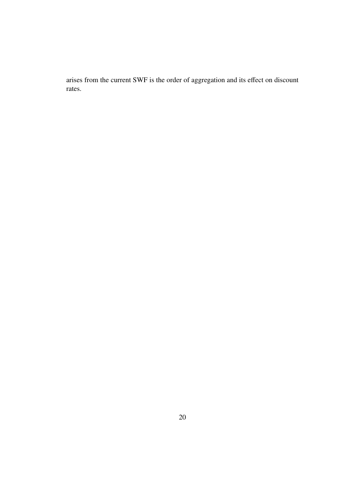arises from the current SWF is the order of aggregation and its effect on discount rates.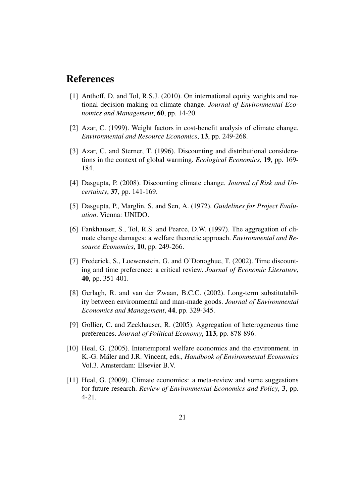## **References**

- [1] Anthoff, D. and Tol, R.S.J. (2010). On international equity weights and national decision making on climate change. *Journal of Environmental Economics and Management*, **60**, pp. 14-20.
- [2] Azar, C. (1999). Weight factors in cost-benefit analysis of climate change. *Environmental and Resource Economics*, **13**, pp. 249-268.
- [3] Azar, C. and Sterner, T. (1996). Discounting and distributional considerations in the context of global warming. *Ecological Economics*, **19**, pp. 169- 184.
- [4] Dasgupta, P. (2008). Discounting climate change. *Journal of Risk and Uncertainty*, **37**, pp. 141-169.
- [5] Dasgupta, P., Marglin, S. and Sen, A. (1972). *Guidelines for Project Evaluation*. Vienna: UNIDO.
- [6] Fankhauser, S., Tol, R.S. and Pearce, D.W. (1997). The aggregation of climate change damages: a welfare theoretic approach. *Environmental and Resource Economics*, **10**, pp. 249-266.
- [7] Frederick, S., Loewenstein, G. and O'Donoghue, T. (2002). Time discounting and time preference: a critical review. *Journal of Economic Literature*, **40**, pp. 351-401.
- [8] Gerlagh, R. and van der Zwaan, B.C.C. (2002). Long-term substitutability between environmental and man-made goods. *Journal of Environmental Economics and Management*, **44**, pp. 329-345.
- [9] Gollier, C. and Zeckhauser, R. (2005). Aggregation of heterogeneous time preferences. *Journal of Political Economy*, **113**, pp. 878-896.
- [10] Heal, G. (2005). Intertemporal welfare economics and the environment. in K.-G. Mäler and J.R. Vincent, eds., *Handbook of Environmental Economics* Vol.3. Amsterdam: Elsevier B.V.
- [11] Heal, G. (2009). Climate economics: a meta-review and some suggestions for future research. *Review of Environmental Economics and Policy*, **3**, pp. 4-21.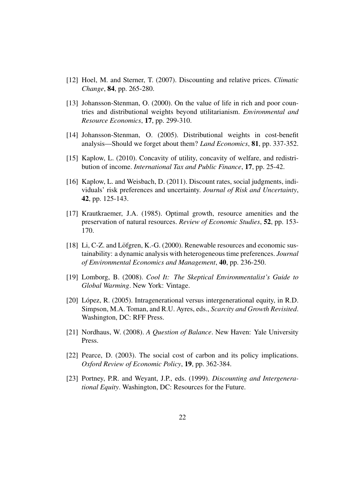- [12] Hoel, M. and Sterner, T. (2007). Discounting and relative prices. *Climatic Change*, **84**, pp. 265-280.
- [13] Johansson-Stenman, O. (2000). On the value of life in rich and poor countries and distributional weights beyond utilitarianism. *Environmental and Resource Economics*, **17**, pp. 299-310.
- [14] Johansson-Stenman, O. (2005). Distributional weights in cost-benefit analysis—Should we forget about them? *Land Economics*, **81**, pp. 337-352.
- [15] Kaplow, L. (2010). Concavity of utility, concavity of welfare, and redistribution of income. *International Tax and Public Finance*, **17**, pp. 25-42.
- [16] Kaplow, L. and Weisbach, D. (2011). Discount rates, social judgments, individuals' risk preferences and uncertainty. *Journal of Risk and Uncertainty*, **42**, pp. 125-143.
- [17] Krautkraemer, J.A. (1985). Optimal growth, resource amenities and the preservation of natural resources. *Review of Economic Studies*, **52**, pp. 153- 170.
- [18] Li, C-Z. and Löfgren, K.-G.  $(2000)$ . Renewable resources and economic sustainability: a dynamic analysis with heterogeneous time preferences. *Journal of Environmental Economics and Management*, **40**, pp. 236-250.
- [19] Lomborg, B. (2008). *Cool It: The Skeptical Environmentalist's Guide to Global Warming*. New York: Vintage.
- [20] López, R. (2005). Intragenerational versus intergenerational equity, in R.D. Simpson, M.A. Toman, and R.U. Ayres, eds., *Scarcity and Growth Revisited*. Washington, DC: RFF Press.
- [21] Nordhaus, W. (2008). *A Question of Balance*. New Haven: Yale University Press.
- [22] Pearce, D. (2003). The social cost of carbon and its policy implications. *Oxford Review of Economic Policy*, **19**, pp. 362-384.
- [23] Portney, P.R. and Weyant, J.P., eds. (1999). *Discounting and Intergenerational Equity*. Washington, DC: Resources for the Future.